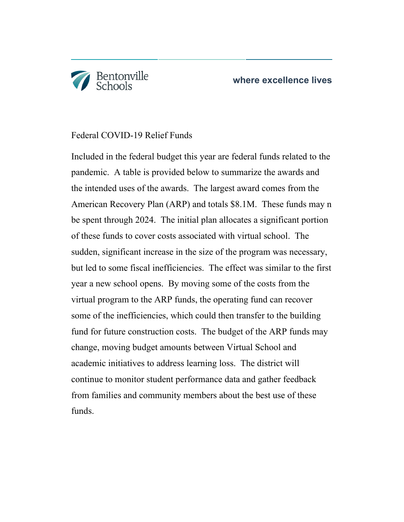

## Federal COVID-19 Relief Funds

Included in the federal budget this year are federal funds related to the pandemic. A table is provided below to summarize the awards and the intended uses of the awards. The largest award comes from the American Recovery Plan (ARP) and totals \$8.1M. These funds may n be spent through 2024. The initial plan allocates a significant portion of these funds to cover costs associated with virtual school. The sudden, significant increase in the size of the program was necessary, but led to some fiscal inefficiencies. The effect was similar to the first year a new school opens. By moving some of the costs from the virtual program to the ARP funds, the operating fund can recover some of the inefficiencies, which could then transfer to the building fund for future construction costs. The budget of the ARP funds may change, moving budget amounts between Virtual School and academic initiatives to address learning loss. The district will continue to monitor student performance data and gather feedback from families and community members about the best use of these funds.